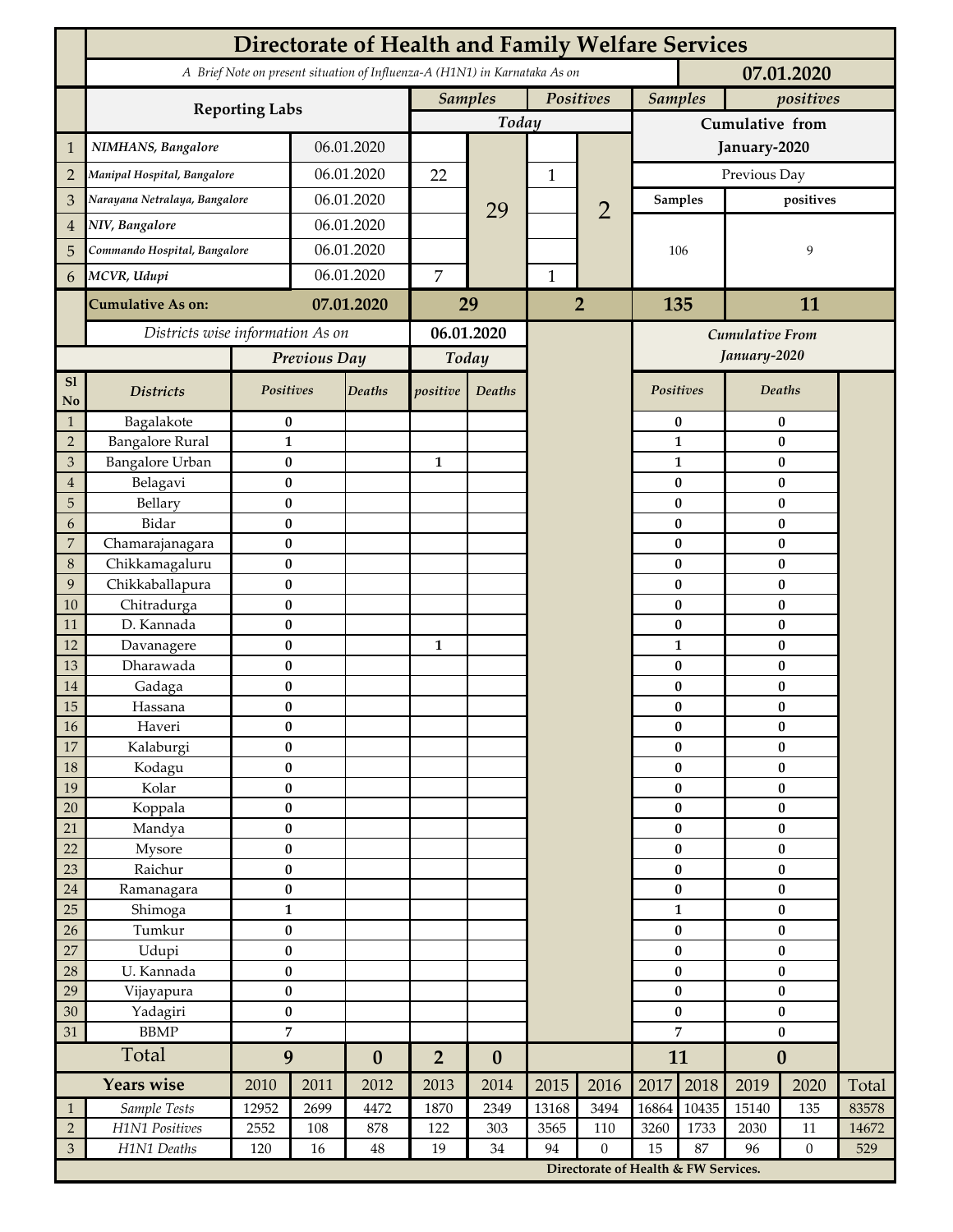| A Brief Note on present situation of Influenza-A (H1N1) in Karnataka As on<br>07.01.2020<br><b>Samples</b><br>Positives<br><b>Samples</b><br>positives<br><b>Reporting Labs</b><br>Today<br>Cumulative from<br>06.01.2020<br>NIMHANS, Bangalore<br>January-2020<br>1<br>06.01.2020<br>Previous Day<br>22<br>$\overline{2}$<br>Manipal Hospital, Bangalore<br>1<br>06.01.2020<br>Narayana Netralaya, Bangalore<br>positives<br>3<br><b>Samples</b><br>$\overline{2}$<br>29<br>06.01.2020<br>NIV, Bangalore<br>4<br>06.01.2020<br>Commando Hospital, Bangalore<br>106<br>9<br>5<br>06.01.2020<br>$\overline{7}$<br>MCVR, Udupi<br>$\mathbf{1}$<br>6<br>07.01.2020<br>29<br>$\overline{2}$<br>135<br><b>Cumulative As on:</b><br>11<br>Districts wise information As on<br>06.01.2020<br>Cumulative From<br>January-2020<br>Previous Day<br>Today<br>S1<br>Positives<br><b>Deaths</b><br><b>Deaths</b><br>Positives<br><b>Districts</b><br>positive<br>Deaths<br>No<br>Bagalakote<br>$\bf{0}$<br>$\bf{0}$<br>$\bf{0}$<br>$\mathbf{1}$<br>$\overline{2}$<br><b>Bangalore Rural</b><br>$\mathbf{1}$<br>$\mathbf{1}$<br>$\pmb{0}$<br><b>Bangalore Urban</b><br>$\pmb{0}$<br>$\mathfrak{B}$<br>$\mathbf{1}$<br>$\bf{0}$<br>1<br>Belagavi<br>$\bf{0}$<br>0<br>$\bf{0}$<br>$\overline{4}$<br>5<br>Bellary<br>$\bf{0}$<br>0<br>$\bf{0}$<br>Bidar<br>$\pmb{0}$<br>$\bf{0}$<br>$\bf{0}$<br>6<br>$\bf{0}$<br>7<br>Chamarajanagara<br>$\bf{0}$<br>$\bf{0}$<br>8<br>Chikkamagaluru<br>$\bf{0}$<br>0<br>$\bf{0}$<br>9<br>Chikkaballapura<br>$\bf{0}$<br>0<br>$\bf{0}$<br>Chitradurga<br>$\bf{0}$<br>10<br>$\bf{0}$<br>$\bf{0}$<br>D. Kannada<br>$\bf{0}$<br>$\bf{0}$<br>$\bf{0}$<br>11<br>$\pmb{0}$<br>$\mathbf{1}$<br>$\pmb{0}$<br>12<br>Davanagere<br>1<br>13<br>Dharawada<br>$\pmb{0}$<br>$\bf{0}$<br>$\pmb{0}$<br>$\bf{0}$<br>0<br>$\bf{0}$<br>14<br>Gadaga<br>15<br>$\pmb{0}$<br>$\bf{0}$<br>0<br>Hassana<br>16<br>$\pmb{0}$<br>$\pmb{0}$<br>Haveri<br>$\pmb{0}$<br>$17\,$<br>$\bf{0}$<br>$\bf{0}$<br>Kalaburgi<br>$\bf{0}$<br>$18\,$<br>Kodagu<br>$\pmb{0}$<br>$\pmb{0}$<br>$\pmb{0}$<br>19<br>Kolar<br>$\pmb{0}$<br>$\pmb{0}$<br>$\pmb{0}$<br>20<br>$\bf{0}$<br>Koppala<br>$\bf{0}$<br>$\pmb{0}$<br>$\bf{0}$<br>$\bf{0}$<br>21<br>$\bf{0}$<br>Mandya<br>22<br>$\bf{0}$<br>$\pmb{0}$<br>$\pmb{0}$<br>Mysore<br>$\pmb{0}$<br>23<br>Raichur<br>$\pmb{0}$<br>$\pmb{0}$<br>$24\,$<br>$\pmb{0}$<br>$\pmb{0}$<br>$\pmb{0}$<br>Ramanagara<br>25<br>$\mathbf{1}$<br>Shimoga<br>$\mathbf{1}$<br>$\pmb{0}$<br>Tumkur<br>$\bf{0}$<br>26<br>$\bf{0}$<br>$\pmb{0}$<br>27<br>Udupi<br>$\bf{0}$<br>$\bf{0}$<br>$\pmb{0}$<br>U. Kannada<br>$\pmb{0}$<br>28<br>$\pmb{0}$<br>$\pmb{0}$<br>$\pmb{0}$<br>29<br>$\pmb{0}$<br>$\pmb{0}$<br>Vijayapura<br>30<br>Yadagiri<br>$\pmb{0}$<br>$\pmb{0}$<br>$\bf{0}$<br>$\overline{7}$<br>$\overline{7}$<br>31<br><b>BBMP</b><br>$\bf{0}$<br>Total<br>9<br>11<br>$\boldsymbol{0}$<br>$\overline{2}$<br>$\boldsymbol{0}$<br>$\boldsymbol{0}$<br><b>Years wise</b><br>2018<br>2015<br>2017<br>Total<br>2010<br>2011<br>2012<br>2013<br>2014<br>2016<br>2019<br>2020<br>2699<br>2349<br>13168<br>3494<br>16864<br>10435<br>83578<br>Sample Tests<br>12952<br>4472<br>1870<br>15140<br>135<br>$\mathbf{1}$<br>$\overline{2}$<br>H1N1 Positives<br>303<br>3260<br>1733<br>2030<br>2552<br>108<br>878<br>122<br>3565<br>110<br>$11\,$<br>14672<br>87<br>$\mathfrak{Z}$<br>H1N1 Deaths<br>19<br>34<br>94<br>15<br>$\boldsymbol{0}$<br>120<br>16<br>$\rm 48$<br>$\boldsymbol{0}$<br>96<br>529<br>Directorate of Health & FW Services. | <b>Directorate of Health and Family Welfare Services</b> |  |  |  |  |  |  |  |  |  |  |  |  |  |
|----------------------------------------------------------------------------------------------------------------------------------------------------------------------------------------------------------------------------------------------------------------------------------------------------------------------------------------------------------------------------------------------------------------------------------------------------------------------------------------------------------------------------------------------------------------------------------------------------------------------------------------------------------------------------------------------------------------------------------------------------------------------------------------------------------------------------------------------------------------------------------------------------------------------------------------------------------------------------------------------------------------------------------------------------------------------------------------------------------------------------------------------------------------------------------------------------------------------------------------------------------------------------------------------------------------------------------------------------------------------------------------------------------------------------------------------------------------------------------------------------------------------------------------------------------------------------------------------------------------------------------------------------------------------------------------------------------------------------------------------------------------------------------------------------------------------------------------------------------------------------------------------------------------------------------------------------------------------------------------------------------------------------------------------------------------------------------------------------------------------------------------------------------------------------------------------------------------------------------------------------------------------------------------------------------------------------------------------------------------------------------------------------------------------------------------------------------------------------------------------------------------------------------------------------------------------------------------------------------------------------------------------------------------------------------------------------------------------------------------------------------------------------------------------------------------------------------------------------------------------------------------------------------------------------------------------------------------------------------------------------------------------------------------------------------------------------------------------------------------------------------------------------------------------------------------------------------------------------------------------------------------------------------------------------------------------------------------------------------------------------------------------------------------------------------------------------------------------------------------------------------------------------------------|----------------------------------------------------------|--|--|--|--|--|--|--|--|--|--|--|--|--|
|                                                                                                                                                                                                                                                                                                                                                                                                                                                                                                                                                                                                                                                                                                                                                                                                                                                                                                                                                                                                                                                                                                                                                                                                                                                                                                                                                                                                                                                                                                                                                                                                                                                                                                                                                                                                                                                                                                                                                                                                                                                                                                                                                                                                                                                                                                                                                                                                                                                                                                                                                                                                                                                                                                                                                                                                                                                                                                                                                                                                                                                                                                                                                                                                                                                                                                                                                                                                                                                                                                                                        |                                                          |  |  |  |  |  |  |  |  |  |  |  |  |  |
|                                                                                                                                                                                                                                                                                                                                                                                                                                                                                                                                                                                                                                                                                                                                                                                                                                                                                                                                                                                                                                                                                                                                                                                                                                                                                                                                                                                                                                                                                                                                                                                                                                                                                                                                                                                                                                                                                                                                                                                                                                                                                                                                                                                                                                                                                                                                                                                                                                                                                                                                                                                                                                                                                                                                                                                                                                                                                                                                                                                                                                                                                                                                                                                                                                                                                                                                                                                                                                                                                                                                        |                                                          |  |  |  |  |  |  |  |  |  |  |  |  |  |
|                                                                                                                                                                                                                                                                                                                                                                                                                                                                                                                                                                                                                                                                                                                                                                                                                                                                                                                                                                                                                                                                                                                                                                                                                                                                                                                                                                                                                                                                                                                                                                                                                                                                                                                                                                                                                                                                                                                                                                                                                                                                                                                                                                                                                                                                                                                                                                                                                                                                                                                                                                                                                                                                                                                                                                                                                                                                                                                                                                                                                                                                                                                                                                                                                                                                                                                                                                                                                                                                                                                                        |                                                          |  |  |  |  |  |  |  |  |  |  |  |  |  |
|                                                                                                                                                                                                                                                                                                                                                                                                                                                                                                                                                                                                                                                                                                                                                                                                                                                                                                                                                                                                                                                                                                                                                                                                                                                                                                                                                                                                                                                                                                                                                                                                                                                                                                                                                                                                                                                                                                                                                                                                                                                                                                                                                                                                                                                                                                                                                                                                                                                                                                                                                                                                                                                                                                                                                                                                                                                                                                                                                                                                                                                                                                                                                                                                                                                                                                                                                                                                                                                                                                                                        |                                                          |  |  |  |  |  |  |  |  |  |  |  |  |  |
|                                                                                                                                                                                                                                                                                                                                                                                                                                                                                                                                                                                                                                                                                                                                                                                                                                                                                                                                                                                                                                                                                                                                                                                                                                                                                                                                                                                                                                                                                                                                                                                                                                                                                                                                                                                                                                                                                                                                                                                                                                                                                                                                                                                                                                                                                                                                                                                                                                                                                                                                                                                                                                                                                                                                                                                                                                                                                                                                                                                                                                                                                                                                                                                                                                                                                                                                                                                                                                                                                                                                        |                                                          |  |  |  |  |  |  |  |  |  |  |  |  |  |
|                                                                                                                                                                                                                                                                                                                                                                                                                                                                                                                                                                                                                                                                                                                                                                                                                                                                                                                                                                                                                                                                                                                                                                                                                                                                                                                                                                                                                                                                                                                                                                                                                                                                                                                                                                                                                                                                                                                                                                                                                                                                                                                                                                                                                                                                                                                                                                                                                                                                                                                                                                                                                                                                                                                                                                                                                                                                                                                                                                                                                                                                                                                                                                                                                                                                                                                                                                                                                                                                                                                                        |                                                          |  |  |  |  |  |  |  |  |  |  |  |  |  |
|                                                                                                                                                                                                                                                                                                                                                                                                                                                                                                                                                                                                                                                                                                                                                                                                                                                                                                                                                                                                                                                                                                                                                                                                                                                                                                                                                                                                                                                                                                                                                                                                                                                                                                                                                                                                                                                                                                                                                                                                                                                                                                                                                                                                                                                                                                                                                                                                                                                                                                                                                                                                                                                                                                                                                                                                                                                                                                                                                                                                                                                                                                                                                                                                                                                                                                                                                                                                                                                                                                                                        |                                                          |  |  |  |  |  |  |  |  |  |  |  |  |  |
|                                                                                                                                                                                                                                                                                                                                                                                                                                                                                                                                                                                                                                                                                                                                                                                                                                                                                                                                                                                                                                                                                                                                                                                                                                                                                                                                                                                                                                                                                                                                                                                                                                                                                                                                                                                                                                                                                                                                                                                                                                                                                                                                                                                                                                                                                                                                                                                                                                                                                                                                                                                                                                                                                                                                                                                                                                                                                                                                                                                                                                                                                                                                                                                                                                                                                                                                                                                                                                                                                                                                        |                                                          |  |  |  |  |  |  |  |  |  |  |  |  |  |
|                                                                                                                                                                                                                                                                                                                                                                                                                                                                                                                                                                                                                                                                                                                                                                                                                                                                                                                                                                                                                                                                                                                                                                                                                                                                                                                                                                                                                                                                                                                                                                                                                                                                                                                                                                                                                                                                                                                                                                                                                                                                                                                                                                                                                                                                                                                                                                                                                                                                                                                                                                                                                                                                                                                                                                                                                                                                                                                                                                                                                                                                                                                                                                                                                                                                                                                                                                                                                                                                                                                                        |                                                          |  |  |  |  |  |  |  |  |  |  |  |  |  |
|                                                                                                                                                                                                                                                                                                                                                                                                                                                                                                                                                                                                                                                                                                                                                                                                                                                                                                                                                                                                                                                                                                                                                                                                                                                                                                                                                                                                                                                                                                                                                                                                                                                                                                                                                                                                                                                                                                                                                                                                                                                                                                                                                                                                                                                                                                                                                                                                                                                                                                                                                                                                                                                                                                                                                                                                                                                                                                                                                                                                                                                                                                                                                                                                                                                                                                                                                                                                                                                                                                                                        |                                                          |  |  |  |  |  |  |  |  |  |  |  |  |  |
|                                                                                                                                                                                                                                                                                                                                                                                                                                                                                                                                                                                                                                                                                                                                                                                                                                                                                                                                                                                                                                                                                                                                                                                                                                                                                                                                                                                                                                                                                                                                                                                                                                                                                                                                                                                                                                                                                                                                                                                                                                                                                                                                                                                                                                                                                                                                                                                                                                                                                                                                                                                                                                                                                                                                                                                                                                                                                                                                                                                                                                                                                                                                                                                                                                                                                                                                                                                                                                                                                                                                        |                                                          |  |  |  |  |  |  |  |  |  |  |  |  |  |
|                                                                                                                                                                                                                                                                                                                                                                                                                                                                                                                                                                                                                                                                                                                                                                                                                                                                                                                                                                                                                                                                                                                                                                                                                                                                                                                                                                                                                                                                                                                                                                                                                                                                                                                                                                                                                                                                                                                                                                                                                                                                                                                                                                                                                                                                                                                                                                                                                                                                                                                                                                                                                                                                                                                                                                                                                                                                                                                                                                                                                                                                                                                                                                                                                                                                                                                                                                                                                                                                                                                                        |                                                          |  |  |  |  |  |  |  |  |  |  |  |  |  |
|                                                                                                                                                                                                                                                                                                                                                                                                                                                                                                                                                                                                                                                                                                                                                                                                                                                                                                                                                                                                                                                                                                                                                                                                                                                                                                                                                                                                                                                                                                                                                                                                                                                                                                                                                                                                                                                                                                                                                                                                                                                                                                                                                                                                                                                                                                                                                                                                                                                                                                                                                                                                                                                                                                                                                                                                                                                                                                                                                                                                                                                                                                                                                                                                                                                                                                                                                                                                                                                                                                                                        |                                                          |  |  |  |  |  |  |  |  |  |  |  |  |  |
|                                                                                                                                                                                                                                                                                                                                                                                                                                                                                                                                                                                                                                                                                                                                                                                                                                                                                                                                                                                                                                                                                                                                                                                                                                                                                                                                                                                                                                                                                                                                                                                                                                                                                                                                                                                                                                                                                                                                                                                                                                                                                                                                                                                                                                                                                                                                                                                                                                                                                                                                                                                                                                                                                                                                                                                                                                                                                                                                                                                                                                                                                                                                                                                                                                                                                                                                                                                                                                                                                                                                        |                                                          |  |  |  |  |  |  |  |  |  |  |  |  |  |
|                                                                                                                                                                                                                                                                                                                                                                                                                                                                                                                                                                                                                                                                                                                                                                                                                                                                                                                                                                                                                                                                                                                                                                                                                                                                                                                                                                                                                                                                                                                                                                                                                                                                                                                                                                                                                                                                                                                                                                                                                                                                                                                                                                                                                                                                                                                                                                                                                                                                                                                                                                                                                                                                                                                                                                                                                                                                                                                                                                                                                                                                                                                                                                                                                                                                                                                                                                                                                                                                                                                                        |                                                          |  |  |  |  |  |  |  |  |  |  |  |  |  |
|                                                                                                                                                                                                                                                                                                                                                                                                                                                                                                                                                                                                                                                                                                                                                                                                                                                                                                                                                                                                                                                                                                                                                                                                                                                                                                                                                                                                                                                                                                                                                                                                                                                                                                                                                                                                                                                                                                                                                                                                                                                                                                                                                                                                                                                                                                                                                                                                                                                                                                                                                                                                                                                                                                                                                                                                                                                                                                                                                                                                                                                                                                                                                                                                                                                                                                                                                                                                                                                                                                                                        |                                                          |  |  |  |  |  |  |  |  |  |  |  |  |  |
|                                                                                                                                                                                                                                                                                                                                                                                                                                                                                                                                                                                                                                                                                                                                                                                                                                                                                                                                                                                                                                                                                                                                                                                                                                                                                                                                                                                                                                                                                                                                                                                                                                                                                                                                                                                                                                                                                                                                                                                                                                                                                                                                                                                                                                                                                                                                                                                                                                                                                                                                                                                                                                                                                                                                                                                                                                                                                                                                                                                                                                                                                                                                                                                                                                                                                                                                                                                                                                                                                                                                        |                                                          |  |  |  |  |  |  |  |  |  |  |  |  |  |
|                                                                                                                                                                                                                                                                                                                                                                                                                                                                                                                                                                                                                                                                                                                                                                                                                                                                                                                                                                                                                                                                                                                                                                                                                                                                                                                                                                                                                                                                                                                                                                                                                                                                                                                                                                                                                                                                                                                                                                                                                                                                                                                                                                                                                                                                                                                                                                                                                                                                                                                                                                                                                                                                                                                                                                                                                                                                                                                                                                                                                                                                                                                                                                                                                                                                                                                                                                                                                                                                                                                                        |                                                          |  |  |  |  |  |  |  |  |  |  |  |  |  |
|                                                                                                                                                                                                                                                                                                                                                                                                                                                                                                                                                                                                                                                                                                                                                                                                                                                                                                                                                                                                                                                                                                                                                                                                                                                                                                                                                                                                                                                                                                                                                                                                                                                                                                                                                                                                                                                                                                                                                                                                                                                                                                                                                                                                                                                                                                                                                                                                                                                                                                                                                                                                                                                                                                                                                                                                                                                                                                                                                                                                                                                                                                                                                                                                                                                                                                                                                                                                                                                                                                                                        |                                                          |  |  |  |  |  |  |  |  |  |  |  |  |  |
|                                                                                                                                                                                                                                                                                                                                                                                                                                                                                                                                                                                                                                                                                                                                                                                                                                                                                                                                                                                                                                                                                                                                                                                                                                                                                                                                                                                                                                                                                                                                                                                                                                                                                                                                                                                                                                                                                                                                                                                                                                                                                                                                                                                                                                                                                                                                                                                                                                                                                                                                                                                                                                                                                                                                                                                                                                                                                                                                                                                                                                                                                                                                                                                                                                                                                                                                                                                                                                                                                                                                        |                                                          |  |  |  |  |  |  |  |  |  |  |  |  |  |
|                                                                                                                                                                                                                                                                                                                                                                                                                                                                                                                                                                                                                                                                                                                                                                                                                                                                                                                                                                                                                                                                                                                                                                                                                                                                                                                                                                                                                                                                                                                                                                                                                                                                                                                                                                                                                                                                                                                                                                                                                                                                                                                                                                                                                                                                                                                                                                                                                                                                                                                                                                                                                                                                                                                                                                                                                                                                                                                                                                                                                                                                                                                                                                                                                                                                                                                                                                                                                                                                                                                                        |                                                          |  |  |  |  |  |  |  |  |  |  |  |  |  |
|                                                                                                                                                                                                                                                                                                                                                                                                                                                                                                                                                                                                                                                                                                                                                                                                                                                                                                                                                                                                                                                                                                                                                                                                                                                                                                                                                                                                                                                                                                                                                                                                                                                                                                                                                                                                                                                                                                                                                                                                                                                                                                                                                                                                                                                                                                                                                                                                                                                                                                                                                                                                                                                                                                                                                                                                                                                                                                                                                                                                                                                                                                                                                                                                                                                                                                                                                                                                                                                                                                                                        |                                                          |  |  |  |  |  |  |  |  |  |  |  |  |  |
|                                                                                                                                                                                                                                                                                                                                                                                                                                                                                                                                                                                                                                                                                                                                                                                                                                                                                                                                                                                                                                                                                                                                                                                                                                                                                                                                                                                                                                                                                                                                                                                                                                                                                                                                                                                                                                                                                                                                                                                                                                                                                                                                                                                                                                                                                                                                                                                                                                                                                                                                                                                                                                                                                                                                                                                                                                                                                                                                                                                                                                                                                                                                                                                                                                                                                                                                                                                                                                                                                                                                        |                                                          |  |  |  |  |  |  |  |  |  |  |  |  |  |
|                                                                                                                                                                                                                                                                                                                                                                                                                                                                                                                                                                                                                                                                                                                                                                                                                                                                                                                                                                                                                                                                                                                                                                                                                                                                                                                                                                                                                                                                                                                                                                                                                                                                                                                                                                                                                                                                                                                                                                                                                                                                                                                                                                                                                                                                                                                                                                                                                                                                                                                                                                                                                                                                                                                                                                                                                                                                                                                                                                                                                                                                                                                                                                                                                                                                                                                                                                                                                                                                                                                                        |                                                          |  |  |  |  |  |  |  |  |  |  |  |  |  |
|                                                                                                                                                                                                                                                                                                                                                                                                                                                                                                                                                                                                                                                                                                                                                                                                                                                                                                                                                                                                                                                                                                                                                                                                                                                                                                                                                                                                                                                                                                                                                                                                                                                                                                                                                                                                                                                                                                                                                                                                                                                                                                                                                                                                                                                                                                                                                                                                                                                                                                                                                                                                                                                                                                                                                                                                                                                                                                                                                                                                                                                                                                                                                                                                                                                                                                                                                                                                                                                                                                                                        |                                                          |  |  |  |  |  |  |  |  |  |  |  |  |  |
|                                                                                                                                                                                                                                                                                                                                                                                                                                                                                                                                                                                                                                                                                                                                                                                                                                                                                                                                                                                                                                                                                                                                                                                                                                                                                                                                                                                                                                                                                                                                                                                                                                                                                                                                                                                                                                                                                                                                                                                                                                                                                                                                                                                                                                                                                                                                                                                                                                                                                                                                                                                                                                                                                                                                                                                                                                                                                                                                                                                                                                                                                                                                                                                                                                                                                                                                                                                                                                                                                                                                        |                                                          |  |  |  |  |  |  |  |  |  |  |  |  |  |
|                                                                                                                                                                                                                                                                                                                                                                                                                                                                                                                                                                                                                                                                                                                                                                                                                                                                                                                                                                                                                                                                                                                                                                                                                                                                                                                                                                                                                                                                                                                                                                                                                                                                                                                                                                                                                                                                                                                                                                                                                                                                                                                                                                                                                                                                                                                                                                                                                                                                                                                                                                                                                                                                                                                                                                                                                                                                                                                                                                                                                                                                                                                                                                                                                                                                                                                                                                                                                                                                                                                                        |                                                          |  |  |  |  |  |  |  |  |  |  |  |  |  |
|                                                                                                                                                                                                                                                                                                                                                                                                                                                                                                                                                                                                                                                                                                                                                                                                                                                                                                                                                                                                                                                                                                                                                                                                                                                                                                                                                                                                                                                                                                                                                                                                                                                                                                                                                                                                                                                                                                                                                                                                                                                                                                                                                                                                                                                                                                                                                                                                                                                                                                                                                                                                                                                                                                                                                                                                                                                                                                                                                                                                                                                                                                                                                                                                                                                                                                                                                                                                                                                                                                                                        |                                                          |  |  |  |  |  |  |  |  |  |  |  |  |  |
|                                                                                                                                                                                                                                                                                                                                                                                                                                                                                                                                                                                                                                                                                                                                                                                                                                                                                                                                                                                                                                                                                                                                                                                                                                                                                                                                                                                                                                                                                                                                                                                                                                                                                                                                                                                                                                                                                                                                                                                                                                                                                                                                                                                                                                                                                                                                                                                                                                                                                                                                                                                                                                                                                                                                                                                                                                                                                                                                                                                                                                                                                                                                                                                                                                                                                                                                                                                                                                                                                                                                        |                                                          |  |  |  |  |  |  |  |  |  |  |  |  |  |
|                                                                                                                                                                                                                                                                                                                                                                                                                                                                                                                                                                                                                                                                                                                                                                                                                                                                                                                                                                                                                                                                                                                                                                                                                                                                                                                                                                                                                                                                                                                                                                                                                                                                                                                                                                                                                                                                                                                                                                                                                                                                                                                                                                                                                                                                                                                                                                                                                                                                                                                                                                                                                                                                                                                                                                                                                                                                                                                                                                                                                                                                                                                                                                                                                                                                                                                                                                                                                                                                                                                                        |                                                          |  |  |  |  |  |  |  |  |  |  |  |  |  |
|                                                                                                                                                                                                                                                                                                                                                                                                                                                                                                                                                                                                                                                                                                                                                                                                                                                                                                                                                                                                                                                                                                                                                                                                                                                                                                                                                                                                                                                                                                                                                                                                                                                                                                                                                                                                                                                                                                                                                                                                                                                                                                                                                                                                                                                                                                                                                                                                                                                                                                                                                                                                                                                                                                                                                                                                                                                                                                                                                                                                                                                                                                                                                                                                                                                                                                                                                                                                                                                                                                                                        |                                                          |  |  |  |  |  |  |  |  |  |  |  |  |  |
|                                                                                                                                                                                                                                                                                                                                                                                                                                                                                                                                                                                                                                                                                                                                                                                                                                                                                                                                                                                                                                                                                                                                                                                                                                                                                                                                                                                                                                                                                                                                                                                                                                                                                                                                                                                                                                                                                                                                                                                                                                                                                                                                                                                                                                                                                                                                                                                                                                                                                                                                                                                                                                                                                                                                                                                                                                                                                                                                                                                                                                                                                                                                                                                                                                                                                                                                                                                                                                                                                                                                        |                                                          |  |  |  |  |  |  |  |  |  |  |  |  |  |
|                                                                                                                                                                                                                                                                                                                                                                                                                                                                                                                                                                                                                                                                                                                                                                                                                                                                                                                                                                                                                                                                                                                                                                                                                                                                                                                                                                                                                                                                                                                                                                                                                                                                                                                                                                                                                                                                                                                                                                                                                                                                                                                                                                                                                                                                                                                                                                                                                                                                                                                                                                                                                                                                                                                                                                                                                                                                                                                                                                                                                                                                                                                                                                                                                                                                                                                                                                                                                                                                                                                                        |                                                          |  |  |  |  |  |  |  |  |  |  |  |  |  |
|                                                                                                                                                                                                                                                                                                                                                                                                                                                                                                                                                                                                                                                                                                                                                                                                                                                                                                                                                                                                                                                                                                                                                                                                                                                                                                                                                                                                                                                                                                                                                                                                                                                                                                                                                                                                                                                                                                                                                                                                                                                                                                                                                                                                                                                                                                                                                                                                                                                                                                                                                                                                                                                                                                                                                                                                                                                                                                                                                                                                                                                                                                                                                                                                                                                                                                                                                                                                                                                                                                                                        |                                                          |  |  |  |  |  |  |  |  |  |  |  |  |  |
|                                                                                                                                                                                                                                                                                                                                                                                                                                                                                                                                                                                                                                                                                                                                                                                                                                                                                                                                                                                                                                                                                                                                                                                                                                                                                                                                                                                                                                                                                                                                                                                                                                                                                                                                                                                                                                                                                                                                                                                                                                                                                                                                                                                                                                                                                                                                                                                                                                                                                                                                                                                                                                                                                                                                                                                                                                                                                                                                                                                                                                                                                                                                                                                                                                                                                                                                                                                                                                                                                                                                        |                                                          |  |  |  |  |  |  |  |  |  |  |  |  |  |
|                                                                                                                                                                                                                                                                                                                                                                                                                                                                                                                                                                                                                                                                                                                                                                                                                                                                                                                                                                                                                                                                                                                                                                                                                                                                                                                                                                                                                                                                                                                                                                                                                                                                                                                                                                                                                                                                                                                                                                                                                                                                                                                                                                                                                                                                                                                                                                                                                                                                                                                                                                                                                                                                                                                                                                                                                                                                                                                                                                                                                                                                                                                                                                                                                                                                                                                                                                                                                                                                                                                                        |                                                          |  |  |  |  |  |  |  |  |  |  |  |  |  |
|                                                                                                                                                                                                                                                                                                                                                                                                                                                                                                                                                                                                                                                                                                                                                                                                                                                                                                                                                                                                                                                                                                                                                                                                                                                                                                                                                                                                                                                                                                                                                                                                                                                                                                                                                                                                                                                                                                                                                                                                                                                                                                                                                                                                                                                                                                                                                                                                                                                                                                                                                                                                                                                                                                                                                                                                                                                                                                                                                                                                                                                                                                                                                                                                                                                                                                                                                                                                                                                                                                                                        |                                                          |  |  |  |  |  |  |  |  |  |  |  |  |  |
|                                                                                                                                                                                                                                                                                                                                                                                                                                                                                                                                                                                                                                                                                                                                                                                                                                                                                                                                                                                                                                                                                                                                                                                                                                                                                                                                                                                                                                                                                                                                                                                                                                                                                                                                                                                                                                                                                                                                                                                                                                                                                                                                                                                                                                                                                                                                                                                                                                                                                                                                                                                                                                                                                                                                                                                                                                                                                                                                                                                                                                                                                                                                                                                                                                                                                                                                                                                                                                                                                                                                        |                                                          |  |  |  |  |  |  |  |  |  |  |  |  |  |
|                                                                                                                                                                                                                                                                                                                                                                                                                                                                                                                                                                                                                                                                                                                                                                                                                                                                                                                                                                                                                                                                                                                                                                                                                                                                                                                                                                                                                                                                                                                                                                                                                                                                                                                                                                                                                                                                                                                                                                                                                                                                                                                                                                                                                                                                                                                                                                                                                                                                                                                                                                                                                                                                                                                                                                                                                                                                                                                                                                                                                                                                                                                                                                                                                                                                                                                                                                                                                                                                                                                                        |                                                          |  |  |  |  |  |  |  |  |  |  |  |  |  |
|                                                                                                                                                                                                                                                                                                                                                                                                                                                                                                                                                                                                                                                                                                                                                                                                                                                                                                                                                                                                                                                                                                                                                                                                                                                                                                                                                                                                                                                                                                                                                                                                                                                                                                                                                                                                                                                                                                                                                                                                                                                                                                                                                                                                                                                                                                                                                                                                                                                                                                                                                                                                                                                                                                                                                                                                                                                                                                                                                                                                                                                                                                                                                                                                                                                                                                                                                                                                                                                                                                                                        |                                                          |  |  |  |  |  |  |  |  |  |  |  |  |  |
|                                                                                                                                                                                                                                                                                                                                                                                                                                                                                                                                                                                                                                                                                                                                                                                                                                                                                                                                                                                                                                                                                                                                                                                                                                                                                                                                                                                                                                                                                                                                                                                                                                                                                                                                                                                                                                                                                                                                                                                                                                                                                                                                                                                                                                                                                                                                                                                                                                                                                                                                                                                                                                                                                                                                                                                                                                                                                                                                                                                                                                                                                                                                                                                                                                                                                                                                                                                                                                                                                                                                        |                                                          |  |  |  |  |  |  |  |  |  |  |  |  |  |
|                                                                                                                                                                                                                                                                                                                                                                                                                                                                                                                                                                                                                                                                                                                                                                                                                                                                                                                                                                                                                                                                                                                                                                                                                                                                                                                                                                                                                                                                                                                                                                                                                                                                                                                                                                                                                                                                                                                                                                                                                                                                                                                                                                                                                                                                                                                                                                                                                                                                                                                                                                                                                                                                                                                                                                                                                                                                                                                                                                                                                                                                                                                                                                                                                                                                                                                                                                                                                                                                                                                                        |                                                          |  |  |  |  |  |  |  |  |  |  |  |  |  |
|                                                                                                                                                                                                                                                                                                                                                                                                                                                                                                                                                                                                                                                                                                                                                                                                                                                                                                                                                                                                                                                                                                                                                                                                                                                                                                                                                                                                                                                                                                                                                                                                                                                                                                                                                                                                                                                                                                                                                                                                                                                                                                                                                                                                                                                                                                                                                                                                                                                                                                                                                                                                                                                                                                                                                                                                                                                                                                                                                                                                                                                                                                                                                                                                                                                                                                                                                                                                                                                                                                                                        |                                                          |  |  |  |  |  |  |  |  |  |  |  |  |  |
|                                                                                                                                                                                                                                                                                                                                                                                                                                                                                                                                                                                                                                                                                                                                                                                                                                                                                                                                                                                                                                                                                                                                                                                                                                                                                                                                                                                                                                                                                                                                                                                                                                                                                                                                                                                                                                                                                                                                                                                                                                                                                                                                                                                                                                                                                                                                                                                                                                                                                                                                                                                                                                                                                                                                                                                                                                                                                                                                                                                                                                                                                                                                                                                                                                                                                                                                                                                                                                                                                                                                        |                                                          |  |  |  |  |  |  |  |  |  |  |  |  |  |
|                                                                                                                                                                                                                                                                                                                                                                                                                                                                                                                                                                                                                                                                                                                                                                                                                                                                                                                                                                                                                                                                                                                                                                                                                                                                                                                                                                                                                                                                                                                                                                                                                                                                                                                                                                                                                                                                                                                                                                                                                                                                                                                                                                                                                                                                                                                                                                                                                                                                                                                                                                                                                                                                                                                                                                                                                                                                                                                                                                                                                                                                                                                                                                                                                                                                                                                                                                                                                                                                                                                                        |                                                          |  |  |  |  |  |  |  |  |  |  |  |  |  |
|                                                                                                                                                                                                                                                                                                                                                                                                                                                                                                                                                                                                                                                                                                                                                                                                                                                                                                                                                                                                                                                                                                                                                                                                                                                                                                                                                                                                                                                                                                                                                                                                                                                                                                                                                                                                                                                                                                                                                                                                                                                                                                                                                                                                                                                                                                                                                                                                                                                                                                                                                                                                                                                                                                                                                                                                                                                                                                                                                                                                                                                                                                                                                                                                                                                                                                                                                                                                                                                                                                                                        |                                                          |  |  |  |  |  |  |  |  |  |  |  |  |  |
|                                                                                                                                                                                                                                                                                                                                                                                                                                                                                                                                                                                                                                                                                                                                                                                                                                                                                                                                                                                                                                                                                                                                                                                                                                                                                                                                                                                                                                                                                                                                                                                                                                                                                                                                                                                                                                                                                                                                                                                                                                                                                                                                                                                                                                                                                                                                                                                                                                                                                                                                                                                                                                                                                                                                                                                                                                                                                                                                                                                                                                                                                                                                                                                                                                                                                                                                                                                                                                                                                                                                        |                                                          |  |  |  |  |  |  |  |  |  |  |  |  |  |